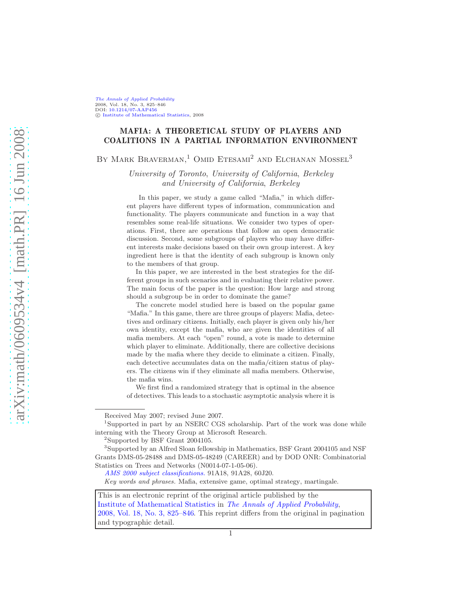[The Annals of Applied Probability](http://www.imstat.org/aap/) 2008, Vol. 18, No. 3, 825–846 DOI: [10.1214/07-AAP456](http://dx.doi.org/10.1214/07-AAP456) c [Institute of Mathematical Statistics,](http://www.imstat.org) 2008

# MAFIA: A THEORETICAL STUDY OF PLAYERS AND COALITIONS IN A PARTIAL INFORMATION ENVIRONMENT

BY MARK BRAVERMAN,<sup>1</sup> OMID ETESAMI<sup>2</sup> AND ELCHANAN MOSSEL<sup>3</sup>

*University of Toronto*, *University of California*, *Berkeley and University of California*, *Berkeley*

In this paper, we study a game called "Mafia," in which different players have different types of information, communication and functionality. The players communicate and function in a way that resembles some real-life situations. We consider two types of operations. First, there are operations that follow an open democratic discussion. Second, some subgroups of players who may have different interests make decisions based on their own group interest. A key ingredient here is that the identity of each subgroup is known only to the members of that group.

In this paper, we are interested in the best strategies for the different groups in such scenarios and in evaluating their relative power. The main focus of the paper is the question: How large and strong should a subgroup be in order to dominate the game?

The concrete model studied here is based on the popular game "Mafia." In this game, there are three groups of players: Mafia, detectives and ordinary citizens. Initially, each player is given only his/her own identity, except the mafia, who are given the identities of all mafia members. At each "open" round, a vote is made to determine which player to eliminate. Additionally, there are collective decisions made by the mafia where they decide to eliminate a citizen. Finally, each detective accumulates data on the mafia/citizen status of players. The citizens win if they eliminate all mafia members. Otherwise, the mafia wins.

We first find a randomized strategy that is optimal in the absence of detectives. This leads to a stochastic asymptotic analysis where it is

<sup>2</sup>Supported by BSF Grant 2004105.

Key words and phrases. Mafia, extensive game, optimal strategy, martingale.

This is an electronic reprint of the original article published by the [Institute of Mathematical Statistics](http://www.imstat.org) in *[The Annals of Applied Probability](http://www.imstat.org/aap/)*, [2008, Vol. 18, No. 3, 825–846.](http://dx.doi.org/10.1214/07-AAP456) This reprint differs from the original in pagination and typographic detail.

Received May 2007; revised June 2007.

<sup>&</sup>lt;sup>1</sup>Supported in part by an NSERC CGS scholarship. Part of the work was done while interning with the Theory Group at Microsoft Research.

<sup>3</sup>Supported by an Alfred Sloan fellowship in Mathematics, BSF Grant 2004105 and NSF Grants DMS-05-28488 and DMS-05-48249 (CAREER) and by DOD ONR: Combinatorial Statistics on Trees and Networks (N0014-07-1-05-06).

[AMS 2000 subject classifications.](http://www.ams.org/msc/) 91A18, 91A28, 60J20.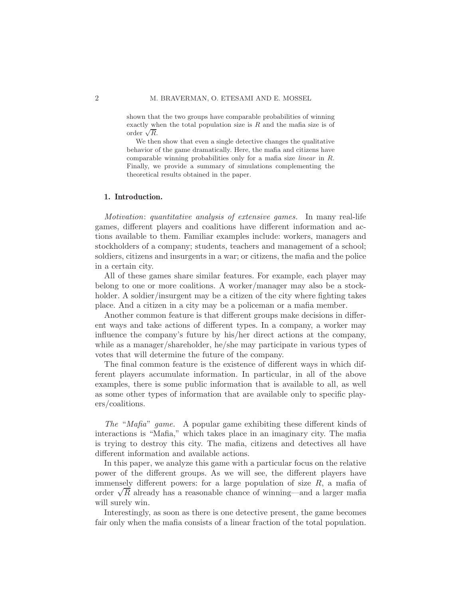shown that the two groups have comparable probabilities of winning exactly when the total population size is  $R$  and the mafia size is of order  $\sqrt{R}$ .

We then show that even a single detective changes the qualitative behavior of the game dramatically. Here, the mafia and citizens have comparable winning probabilities only for a mafia size linear in R. Finally, we provide a summary of simulations complementing the theoretical results obtained in the paper.

### 1. Introduction.

*Motivation*: *quantitative analysis of extensive games.* In many real-life games, different players and coalitions have different information and actions available to them. Familiar examples include: workers, managers and stockholders of a company; students, teachers and management of a school; soldiers, citizens and insurgents in a war; or citizens, the mafia and the police in a certain city.

All of these games share similar features. For example, each player may belong to one or more coalitions. A worker/manager may also be a stockholder. A soldier/insurgent may be a citizen of the city where fighting takes place. And a citizen in a city may be a policeman or a mafia member.

Another common feature is that different groups make decisions in different ways and take actions of different types. In a company, a worker may influence the company's future by his/her direct actions at the company, while as a manager/shareholder, he/she may participate in various types of votes that will determine the future of the company.

The final common feature is the existence of different ways in which different players accumulate information. In particular, in all of the above examples, there is some public information that is available to all, as well as some other types of information that are available only to specific players/coalitions.

*The* "*Mafia*" *game.* A popular game exhibiting these different kinds of interactions is "Mafia," which takes place in an imaginary city. The mafia is trying to destroy this city. The mafia, citizens and detectives all have different information and available actions.

In this paper, we analyze this game with a particular focus on the relative power of the different groups. As we will see, the different players have immensely different powers: for a large population of size  $R$ , a mafia of order  $\sqrt{R}$  already has a reasonable chance of winning—and a larger mafia will surely win.

Interestingly, as soon as there is one detective present, the game becomes fair only when the mafia consists of a linear fraction of the total population.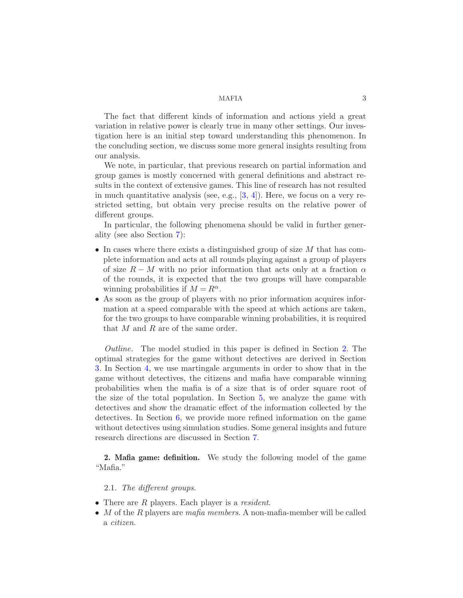The fact that different kinds of information and actions yield a great variation in relative power is clearly true in many other settings. Our investigation here is an initial step toward understanding this phenomenon. In the concluding section, we discuss some more general insights resulting from our analysis.

We note, in particular, that previous research on partial information and group games is mostly concerned with general definitions and abstract results in the context of extensive games. This line of research has not resulted in much quantitative analysis (see, e.g.,  $[3, 4]$  $[3, 4]$ ). Here, we focus on a very restricted setting, but obtain very precise results on the relative power of different groups.

In particular, the following phenomena should be valid in further generality (see also Section [7\)](#page-21-0):

- In cases where there exists a distinguished group of size  $M$  that has complete information and acts at all rounds playing against a group of players of size  $R - M$  with no prior information that acts only at a fraction  $\alpha$ of the rounds, it is expected that the two groups will have comparable winning probabilities if  $M = R^{\alpha}$ .
- As soon as the group of players with no prior information acquires information at a speed comparable with the speed at which actions are taken, for the two groups to have comparable winning probabilities, it is required that  $M$  and  $R$  are of the same order.

*Outline.* The model studied in this paper is defined in Section [2.](#page-2-0) The optimal strategies for the game without detectives are derived in Section [3.](#page-5-0) In Section [4,](#page-6-0) we use martingale arguments in order to show that in the game without detectives, the citizens and mafia have comparable winning probabilities when the mafia is of a size that is of order square root of the size of the total population. In Section [5,](#page-11-0) we analyze the game with detectives and show the dramatic effect of the information collected by the detectives. In Section [6,](#page-19-0) we provide more refined information on the game without detectives using simulation studies. Some general insights and future research directions are discussed in Section [7.](#page-21-0)

<span id="page-2-0"></span>2. Mafia game: definition. We study the following model of the game "Mafia."

# 2.1. *The different groups.*

- There are R players. Each player is a *resident*.
- M of the R players are *mafia members*. A non-mafia-member will be called a *citizen*.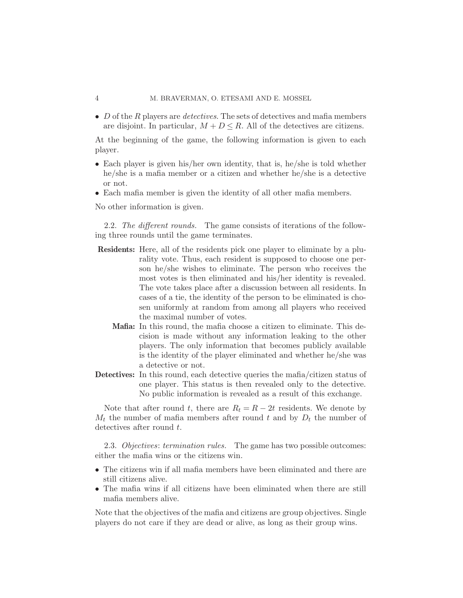#### 4 M. BRAVERMAN, O. ETESAMI AND E. MOSSEL

• D of the R players are *detectives*. The sets of detectives and mafia members are disjoint. In particular,  $M + D \leq R$ . All of the detectives are citizens.

At the beginning of the game, the following information is given to each player.

- Each player is given his/her own identity, that is, he/she is told whether he/she is a mafia member or a citizen and whether he/she is a detective or not.
- Each mafia member is given the identity of all other mafia members.

No other information is given.

2.2. *The different rounds.* The game consists of iterations of the following three rounds until the game terminates.

- Residents: Here, all of the residents pick one player to eliminate by a plurality vote. Thus, each resident is supposed to choose one person he/she wishes to eliminate. The person who receives the most votes is then eliminated and his/her identity is revealed. The vote takes place after a discussion between all residents. In cases of a tie, the identity of the person to be eliminated is chosen uniformly at random from among all players who received the maximal number of votes.
	- Mafia: In this round, the mafia choose a citizen to eliminate. This decision is made without any information leaking to the other players. The only information that becomes publicly available is the identity of the player eliminated and whether he/she was a detective or not.
- Detectives: In this round, each detective queries the mafia/citizen status of one player. This status is then revealed only to the detective. No public information is revealed as a result of this exchange.

Note that after round t, there are  $R_t = R - 2t$  residents. We denote by  $M_t$  the number of mafia members after round t and by  $D_t$  the number of detectives after round t.

2.3. *Objectives*: *termination rules.* The game has two possible outcomes: either the mafia wins or the citizens win.

- The citizens win if all mafia members have been eliminated and there are still citizens alive.
- The mafia wins if all citizens have been eliminated when there are still mafia members alive.

Note that the objectives of the mafia and citizens are group objectives. Single players do not care if they are dead or alive, as long as their group wins.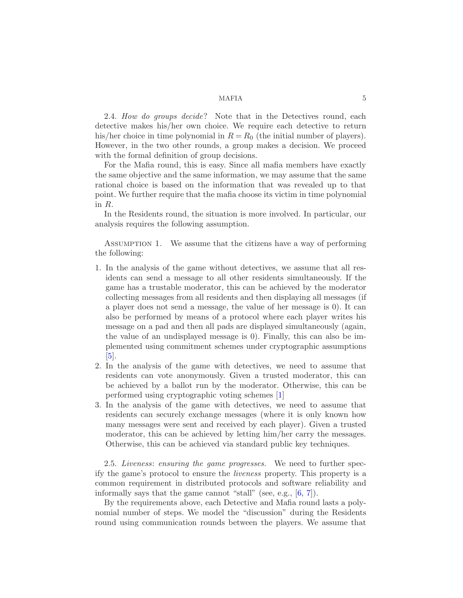2.4. *How do groups decide*? Note that in the Detectives round, each detective makes his/her own choice. We require each detective to return his/her choice in time polynomial in  $R = R_0$  (the initial number of players). However, in the two other rounds, a group makes a decision. We proceed with the formal definition of group decisions.

For the Mafia round, this is easy. Since all mafia members have exactly the same objective and the same information, we may assume that the same rational choice is based on the information that was revealed up to that point. We further require that the mafia choose its victim in time polynomial in R.

<span id="page-4-0"></span>In the Residents round, the situation is more involved. In particular, our analysis requires the following assumption.

Assumption 1. We assume that the citizens have a way of performing the following:

- 1. In the analysis of the game without detectives, we assume that all residents can send a message to all other residents simultaneously. If the game has a trustable moderator, this can be achieved by the moderator collecting messages from all residents and then displaying all messages (if a player does not send a message, the value of her message is 0). It can also be performed by means of a protocol where each player writes his message on a pad and then all pads are displayed simultaneously (again, the value of an undisplayed message is 0). Finally, this can also be implemented using commitment schemes under cryptographic assumptions [\[5](#page-22-2)].
- 2. In the analysis of the game with detectives, we need to assume that residents can vote anonymously. Given a trusted moderator, this can be achieved by a ballot run by the moderator. Otherwise, this can be performed using cryptographic voting schemes [\[1](#page-21-1)]
- 3. In the analysis of the game with detectives, we need to assume that residents can securely exchange messages (where it is only known how many messages were sent and received by each player). Given a trusted moderator, this can be achieved by letting him/her carry the messages. Otherwise, this can be achieved via standard public key techniques.

2.5. *Liveness*: *ensuring the game progresses.* We need to further specify the game's protocol to ensure the *liveness* property. This property is a common requirement in distributed protocols and software reliability and informally says that the game cannot "stall" (see, e.g., [\[6,](#page-22-3) [7\]](#page-22-4)).

By the requirements above, each Detective and Mafia round lasts a polynomial number of steps. We model the "discussion" during the Residents round using communication rounds between the players. We assume that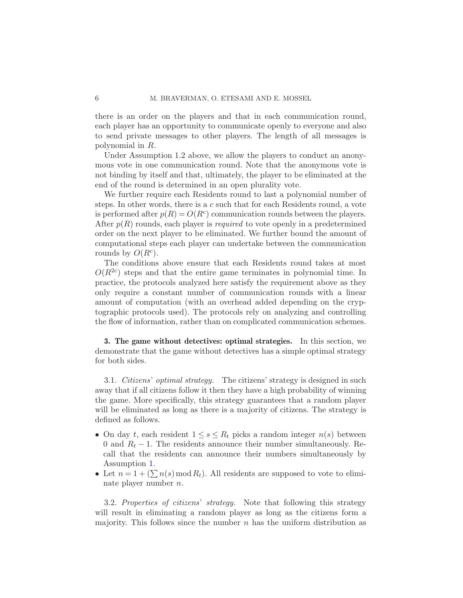there is an order on the players and that in each communication round, each player has an opportunity to communicate openly to everyone and also to send private messages to other players. The length of all messages is polynomial in R.

Under Assumption 1.2 above, we allow the players to conduct an anonymous vote in one communication round. Note that the anonymous vote is not binding by itself and that, ultimately, the player to be eliminated at the end of the round is determined in an open plurality vote.

We further require each Residents round to last a polynomial number of steps. In other words, there is a c such that for each Residents round, a vote is performed after  $p(R) = O(R<sup>c</sup>)$  communication rounds between the players. After  $p(R)$  rounds, each player is *required* to vote openly in a predetermined order on the next player to be eliminated. We further bound the amount of computational steps each player can undertake between the communication rounds by  $O(R^c)$ .

The conditions above ensure that each Residents round takes at most  $O(R^{2c})$  steps and that the entire game terminates in polynomial time. In practice, the protocols analyzed here satisfy the requirement above as they only require a constant number of communication rounds with a linear amount of computation (with an overhead added depending on the cryptographic protocols used). The protocols rely on analyzing and controlling the flow of information, rather than on complicated communication schemes.

<span id="page-5-0"></span>3. The game without detectives: optimal strategies. In this section, we demonstrate that the game without detectives has a simple optimal strategy for both sides.

3.1. *Citizens*' *optimal strategy.* The citizens' strategy is designed in such away that if all citizens follow it then they have a high probability of winning the game. More specifically, this strategy guarantees that a random player will be eliminated as long as there is a majority of citizens. The strategy is defined as follows.

- On day t, each resident  $1 \leq s \leq R_t$  picks a random integer  $n(s)$  between 0 and  $R_t - 1$ . The residents announce their number simultaneously. Recall that the residents can announce their numbers simultaneously by Assumption [1.](#page-4-0)
- Let  $n = 1 + (\sum n(s) \mod R_t)$ . All residents are supposed to vote to eliminate player number n.

3.2. *Properties of citizens*' *strategy.* Note that following this strategy will result in eliminating a random player as long as the citizens form a majority. This follows since the number  $n$  has the uniform distribution as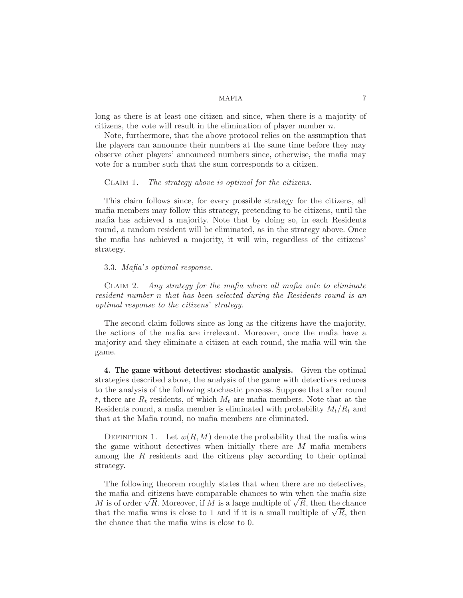long as there is at least one citizen and since, when there is a majority of citizens, the vote will result in the elimination of player number  $n$ .

Note, furthermore, that the above protocol relies on the assumption that the players can announce their numbers at the same time before they may observe other players' announced numbers since, otherwise, the mafia may vote for a number such that the sum corresponds to a citizen.

### Claim 1. *The strategy above is optimal for the citizens.*

This claim follows since, for every possible strategy for the citizens, all mafia members may follow this strategy, pretending to be citizens, until the mafia has achieved a majority. Note that by doing so, in each Residents round, a random resident will be eliminated, as in the strategy above. Once the mafia has achieved a majority, it will win, regardless of the citizens' strategy.

# 3.3. *Mafia*'*s optimal response.*

Claim 2. *Any strategy for the mafia where all mafia vote to eliminate resident number* n *that has been selected during the Residents round is an optimal response to the citizens*' *strategy.*

The second claim follows since as long as the citizens have the majority, the actions of the mafia are irrelevant. Moreover, once the mafia have a majority and they eliminate a citizen at each round, the mafia will win the game.

<span id="page-6-0"></span>4. The game without detectives: stochastic analysis. Given the optimal strategies described above, the analysis of the game with detectives reduces to the analysis of the following stochastic process. Suppose that after round t, there are  $R_t$  residents, of which  $M_t$  are mafia members. Note that at the Residents round, a mafia member is eliminated with probability  $M_t/R_t$  and that at the Mafia round, no mafia members are eliminated.

DEFINITION 1. Let  $w(R,M)$  denote the probability that the mafia wins the game without detectives when initially there are  $M$  mafia members among the R residents and the citizens play according to their optimal strategy.

<span id="page-6-1"></span>The following theorem roughly states that when there are no detectives, the mafia and citizens have comparable chances to win when the mafia size M is of order  $\sqrt{R}$ . Moreover, if M is a large multiple of  $\sqrt{R}$ , then the chance that the mafia wins is close to 1 and if it is a small multiple of  $\sqrt{R}$ , then the chance that the mafia wins is close to 0.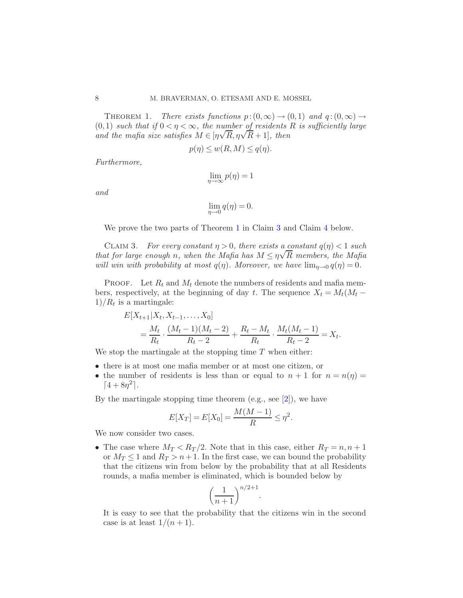THEOREM 1. *There exists functions*  $p:(0,\infty) \to (0,1)$  and  $q:(0,\infty) \to$  $(0, 1)$  *such that if*  $0 < \eta < \infty$ *, the number of residents* R *is sufficiently large* and the mafia size satisfies  $M \in [\eta\sqrt{R}, \eta\sqrt{R}+1]$ , then

$$
p(\eta) \le w(R, M) \le q(\eta).
$$

*Furthermore,*

$$
\lim_{\eta \to \infty} p(\eta) = 1
$$

*and*

<span id="page-7-0"></span>
$$
\lim_{\eta \to 0} q(\eta) = 0.
$$

We prove the two parts of Theorem [1](#page-6-1) in Claim [3](#page-7-0) and Claim [4](#page-8-0) below.

CLAIM 3. *For every constant*  $\eta > 0$ *, there exists a constant*  $q(\eta) < 1$  *such that for large enough n*, when the Mafia has  $M \leq \eta \sqrt{R}$  members, the Mafia has *will win with probability at most*  $q(\eta)$ *. Moreover, we have*  $\lim_{\eta \to 0} q(\eta) = 0$ *.* 

PROOF. Let  $R_t$  and  $M_t$  denote the numbers of residents and mafia members, respectively, at the beginning of day t. The sequence  $X_t = M_t(M_t 1)/R_t$  is a martingale:

$$
E[X_{t+1}|X_t, X_{t-1}, \dots, X_0]
$$
  
=  $\frac{M_t}{R_t} \cdot \frac{(M_t - 1)(M_t - 2)}{R_t - 2} + \frac{R_t - M_t}{R_t} \cdot \frac{M_t(M_t - 1)}{R_t - 2} = X_t.$ 

We stop the martingale at the stopping time  $T$  when either:

- there is at most one mafia member or at most one citizen, or
- the number of residents is less than or equal to  $n + 1$  for  $n = n(\eta) =$  $\lceil 4 + 8\eta^2 \rceil$ .

By the martingale stopping time theorem (e.g., see  $[2]$ ), we have

$$
E[X_T] = E[X_0] = \frac{M(M-1)}{R} \le \eta^2.
$$

We now consider two cases.

• The case where  $M_T < R_T/2$ . Note that in this case, either  $R_T = n, n + 1$ or  $M_T \leq 1$  and  $R_T > n+1$ . In the first case, we can bound the probability that the citizens win from below by the probability that at all Residents rounds, a mafia member is eliminated, which is bounded below by

$$
\left(\frac{1}{n+1}\right)^{n/2+1}
$$

.

It is easy to see that the probability that the citizens win in the second case is at least  $1/(n+1)$ .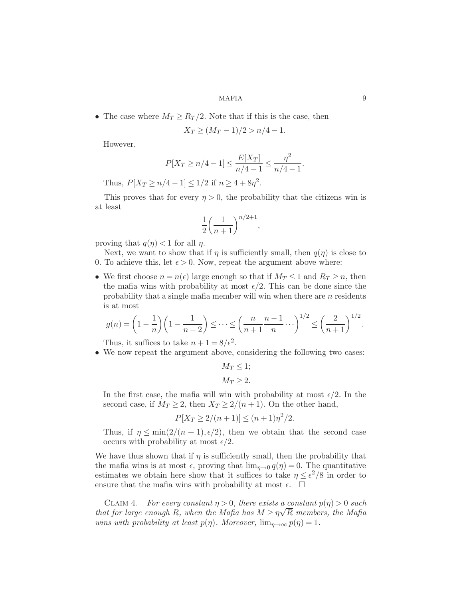• The case where  $M_T \ge R_T/2$ . Note that if this is the case, then

$$
X_T \ge (M_T - 1)/2 > n/4 - 1.
$$

However,

$$
P[X_T \ge n/4 - 1] \le \frac{E[X_T]}{n/4 - 1} \le \frac{n^2}{n/4 - 1}.
$$

Thus,  $P[X_T \ge n/4 - 1] \le 1/2$  if  $n \ge 4 + 8\eta^2$ .

This proves that for every  $\eta > 0$ , the probability that the citizens win is at least

$$
\frac{1}{2}\left(\frac{1}{n+1}\right)^{n/2+1},
$$

proving that  $q(\eta) < 1$  for all  $\eta$ .

Next, we want to show that if  $\eta$  is sufficiently small, then  $q(\eta)$  is close to 0. To achieve this, let  $\epsilon > 0$ . Now, repeat the argument above where:

• We first choose  $n = n(\epsilon)$  large enough so that if  $M_T \leq 1$  and  $R_T \geq n$ , then the mafia wins with probability at most  $\epsilon/2$ . This can be done since the probability that a single mafia member will win when there are  $n$  residents is at most

$$
g(n) = \left(1 - \frac{1}{n}\right) \left(1 - \frac{1}{n-2}\right) \le \dots \le \left(\frac{n}{n+1} - \frac{n-1}{n}\right)^{1/2} \le \left(\frac{2}{n+1}\right)^{1/2}.
$$

Thus, it suffices to take  $n + 1 = 8/\epsilon^2$ .

• We now repeat the argument above, considering the following two cases:

 $M_T \leq 1$ ;  $M_T \geq 2$ .

In the first case, the mafia will win with probability at most  $\epsilon/2$ . In the second case, if  $M_T \geq 2$ , then  $X_T \geq 2/(n+1)$ . On the other hand,

$$
P[X_T \ge 2/(n+1)] \le (n+1)\eta^2/2.
$$

Thus, if  $\eta \le \min(2/(n+1), \epsilon/2)$ , then we obtain that the second case occurs with probability at most  $\epsilon/2$ .

We have thus shown that if  $\eta$  is sufficiently small, then the probability that the mafia wins is at most  $\epsilon$ , proving that  $\lim_{n\to 0} q(\eta) = 0$ . The quantitative estimates we obtain here show that it suffices to take  $\eta \leq \epsilon^2/8$  in order to ensure that the mafia wins with probability at most  $\epsilon$ .  $\Box$ 

<span id="page-8-0"></span>CLAIM 4. *For every constant*  $\eta > 0$ , there exists a constant  $p(\eta) > 0$  such *that for large enough* R, when the Mafia has  $M \ge \eta \sqrt{R}$  members, the Mafia has  $M \ge \eta \sqrt{R}$ *wins with probability at least*  $p(\eta)$ *. Moreover,*  $\lim_{\eta \to \infty} p(\eta) = 1$ *.*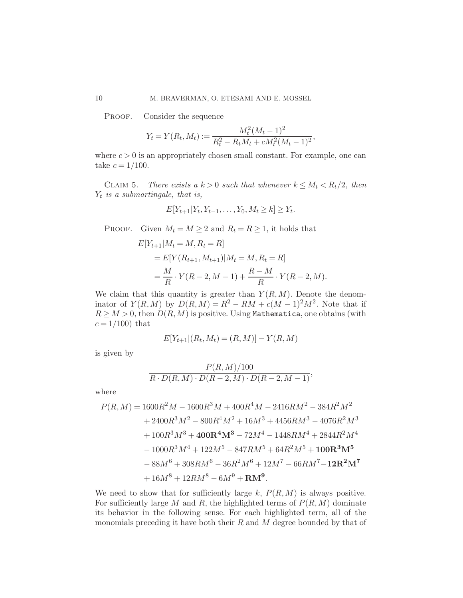PROOF. Consider the sequence

$$
Y_t = Y(R_t, M_t) := \frac{M_t^2 (M_t - 1)^2}{R_t^2 - R_t M_t + c M_t^2 (M_t - 1)^2},
$$

where  $c > 0$  is an appropriately chosen small constant. For example, one can take  $c = 1/100$ .

CLAIM 5. *There exists a*  $k > 0$  *such that whenever*  $k \leq M_t < R_t/2$ , then Yt *is a submartingale, that is,*

$$
E[Y_{t+1}|Y_t, Y_{t-1}, \dots, Y_0, M_t \ge k] \ge Y_t.
$$

PROOF. Given  $M_t = M \geq 2$  and  $R_t = R \geq 1$ , it holds that

$$
E[Y_{t+1}|M_t = M, R_t = R]
$$
  
=  $E[Y(R_{t+1}, M_{t+1})|M_t = M, R_t = R]$   
=  $\frac{M}{R} \cdot Y(R - 2, M - 1) + \frac{R - M}{R} \cdot Y(R - 2, M).$ 

We claim that this quantity is greater than  $Y(R,M)$ . Denote the denominator of  $Y(R, M)$  by  $D(R, M) = R^2 - RM + c(M - 1)^2 M^2$ . Note that if  $R \geq M > 0$ , then  $D(R, M)$  is positive. Using Mathematica, one obtains (with  $c = 1/100$ ) that

$$
E[Y_{t+1}|(R_t, M_t) = (R, M)] - Y(R, M)
$$

is given by

$$
\frac{P(R,M)/100}{R \cdot D(R,M) \cdot D(R-2,M) \cdot D(R-2,M-1)},
$$

where

$$
P(R, M) = 1600R^{2}M - 1600R^{3}M + 400R^{4}M - 2416RM^{2} - 384R^{2}M^{2}
$$
  
+ 2400R<sup>3</sup>M<sup>2</sup> - 800R<sup>4</sup>M<sup>2</sup> + 16M<sup>3</sup> + 4456RM<sup>3</sup> - 4076R<sup>2</sup>M<sup>3</sup>  
+ 100R<sup>3</sup>M<sup>3</sup> + 400R<sup>4</sup>M<sup>3</sup> - 72M<sup>4</sup> - 1448RM<sup>4</sup> + 2844R<sup>2</sup>M<sup>4</sup>  
- 1000R<sup>3</sup>M<sup>4</sup> + 122M<sup>5</sup> - 847RM<sup>5</sup> + 64R<sup>2</sup>M<sup>5</sup> + 100R<sup>3</sup>M<sup>5</sup>  
- 88M<sup>6</sup> + 308RM<sup>6</sup> - 36R<sup>2</sup>M<sup>6</sup> + 12M<sup>7</sup> - 66RM<sup>7</sup> - 12R<sup>2</sup>M<sup>7</sup>  
+ 16M<sup>8</sup> + 12RM<sup>8</sup> - 6M<sup>9</sup> + RM<sup>9</sup>.

We need to show that for sufficiently large  $k$ ,  $P(R,M)$  is always positive. For sufficiently large M and R, the highlighted terms of  $P(R,M)$  dominate its behavior in the following sense. For each highlighted term, all of the monomials preceding it have both their  $R$  and  $M$  degree bounded by that of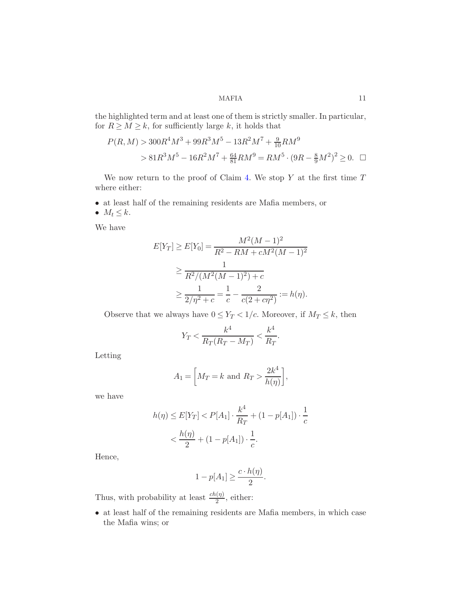the highlighted term and at least one of them is strictly smaller. In particular, for  $R \geq M \geq k$ , for sufficiently large k, it holds that

$$
P(R, M) > 300R^{4}M^{3} + 99R^{3}M^{5} - 13R^{2}M^{7} + \frac{9}{10}RM^{9}
$$
  
> 81R<sup>3</sup>M<sup>5</sup> - 16R<sup>2</sup>M<sup>7</sup> +  $\frac{64}{81}$ RM<sup>9</sup> = RM<sup>5</sup> · (9R -  $\frac{8}{9}$ M<sup>2</sup>)<sup>2</sup>  $\geq$  0.  $\square$ 

We now return to the proof of Claim [4.](#page-8-0) We stop  $Y$  at the first time  $T$ where either:

- at least half of the remaining residents are Mafia members, or
- $\bullet\;\;M_t\leq k.$

We have

$$
E[Y_T] \ge E[Y_0] = \frac{M^2(M-1)^2}{R^2 - RM + cM^2(M-1)^2}
$$
  
\n
$$
\ge \frac{1}{R^2/(M^2(M-1)^2) + c}
$$
  
\n
$$
\ge \frac{1}{2/\eta^2 + c} = \frac{1}{c} - \frac{2}{c(2 + c\eta^2)} := h(\eta).
$$

Observe that we always have  $0 \leq Y_T < 1/c.$  Moreover, if  $M_T \leq k,$  then

$$
Y_T < \frac{k^4}{R_T(R_T - M_T)} < \frac{k^4}{R_T}.
$$

Letting

$$
A_1 = \left[ M_T = k \text{ and } R_T > \frac{2k^4}{h(\eta)} \right],
$$

we have

$$
h(\eta) \le E[Y_T] < P[A_1] \cdot \frac{k^4}{R_T} + (1 - p[A_1]) \cdot \frac{1}{c}
$$
\n
$$
< \frac{h(\eta)}{2} + (1 - p[A_1]) \cdot \frac{1}{c}.
$$

Hence,

$$
1 - p[A_1] \ge \frac{c \cdot h(\eta)}{2}.
$$

Thus, with probability at least  $\frac{ch(\eta)}{2}$ , either:

• at least half of the remaining residents are Mafia members, in which case the Mafia wins; or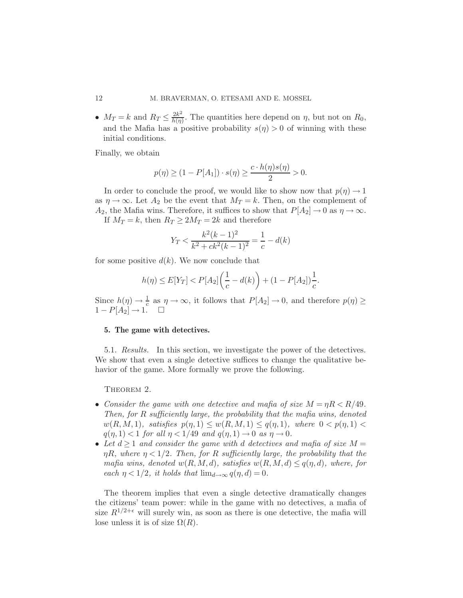•  $M_T = k$  and  $R_T \leq \frac{2k^2}{h(\eta)}$  $\frac{2k^2}{h(\eta)}$ . The quantities here depend on  $\eta$ , but not on  $R_0$ , and the Mafia has a positive probability  $s(\eta) > 0$  of winning with these initial conditions.

Finally, we obtain

$$
p(\eta) \ge (1 - P[A_1]) \cdot s(\eta) \ge \frac{c \cdot h(\eta)s(\eta)}{2} > 0.
$$

In order to conclude the proof, we would like to show now that  $p(\eta) \to 1$ as  $\eta \to \infty$ . Let  $A_2$  be the event that  $M_T = k$ . Then, on the complement of  $A_2$ , the Mafia wins. Therefore, it suffices to show that  $P[A_2] \to 0$  as  $\eta \to \infty$ . If  $M_T = k$ , then  $R_T \geq 2M_T = 2k$  and therefore

$$
Y_T < \frac{k^2(k-1)^2}{k^2 + ck^2(k-1)^2} = \frac{1}{c} - d(k)
$$

for some positive  $d(k)$ . We now conclude that

<span id="page-11-1"></span>
$$
h(\eta) \le E[Y_T] < P[A_2] \left( \frac{1}{c} - d(k) \right) + (1 - P[A_2]) \frac{1}{c}.
$$

Since  $h(\eta) \to \frac{1}{c}$  as  $\eta \to \infty$ , it follows that  $P[A_2] \to 0$ , and therefore  $p(\eta) \ge$  $1 - P[A_2] \rightarrow 1.$   $\Box$ 

#### <span id="page-11-0"></span>5. The game with detectives.

5.1. *Results.* In this section, we investigate the power of the detectives. We show that even a single detective suffices to change the qualitative behavior of the game. More formally we prove the following.

THEOREM 2.

- *Consider the game with one detective and mafia of size*  $M = \eta R < R/49$ . *Then, for* R *sufficiently large, the probability that the mafia wins, denoted*  $w(R, M, 1)$ *, satisfies*  $p(\eta, 1) \leq w(R, M, 1) \leq q(\eta, 1)$ *, where*  $0 < p(\eta, 1)$  $q(\eta, 1) < 1$  *for all*  $\eta < 1/49$  *and*  $q(\eta, 1) \rightarrow 0$  *as*  $\eta \rightarrow 0$ *.*
- Let  $d \geq 1$  and consider the game with d detectives and mafia of size  $M =$  $\eta R$ , where  $\eta < 1/2$ . Then, for R sufficiently large, the probability that the *mafia wins, denoted*  $w(R, M, d)$ *, satisfies*  $w(R, M, d) \leq q(\eta, d)$ *, where, for each*  $\eta$  < 1/2*, it holds that*  $\lim_{d\to\infty} q(\eta, d) = 0$ *.*

The theorem implies that even a single detective dramatically changes the citizens' team power: while in the game with no detectives, a mafia of size  $R^{1/2+\epsilon}$  will surely win, as soon as there is one detective, the mafia will lose unless it is of size  $\Omega(R)$ .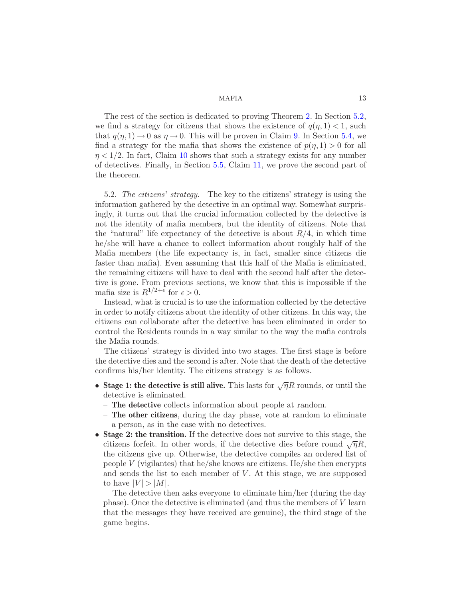The rest of the section is dedicated to proving Theorem [2.](#page-11-1) In Section [5.2,](#page-12-0) we find a strategy for citizens that shows the existence of  $q(\eta, 1) < 1$ , such that  $q(\eta, 1) \to 0$  as  $\eta \to 0$ . This will be proven in Claim [9.](#page-16-0) In Section [5.4,](#page-16-1) we find a strategy for the mafia that shows the existence of  $p(\eta, 1) > 0$  for all  $\eta < 1/2$ . In fact, Claim [10](#page-16-1) shows that such a strategy exists for any number of detectives. Finally, in Section [5.5,](#page-17-0) Claim [11,](#page-17-1) we prove the second part of the theorem.

<span id="page-12-0"></span>5.2. *The citizens*' *strategy.* The key to the citizens' strategy is using the information gathered by the detective in an optimal way. Somewhat surprisingly, it turns out that the crucial information collected by the detective is not the identity of mafia members, but the identity of citizens. Note that the "natural" life expectancy of the detective is about  $R/4$ , in which time he/she will have a chance to collect information about roughly half of the Mafia members (the life expectancy is, in fact, smaller since citizens die faster than mafia). Even assuming that this half of the Mafia is eliminated, the remaining citizens will have to deal with the second half after the detective is gone. From previous sections, we know that this is impossible if the mafia size is  $R^{1/2+\epsilon}$  for  $\epsilon > 0$ .

Instead, what is crucial is to use the information collected by the detective in order to notify citizens about the identity of other citizens. In this way, the citizens can collaborate after the detective has been eliminated in order to control the Residents rounds in a way similar to the way the mafia controls the Mafia rounds.

The citizens' strategy is divided into two stages. The first stage is before the detective dies and the second is after. Note that the death of the detective confirms his/her identity. The citizens strategy is as follows.

- Stage 1: the detective is still alive. This lasts for  $\sqrt{\eta}R$  rounds, or until the detective is eliminated.
	- The detective collects information about people at random.
	- The other citizens, during the day phase, vote at random to eliminate a person, as in the case with no detectives.
- Stage 2: the transition. If the detective does not survive to this stage, the citizens forfeit. In other words, if the detective dies before round  $\sqrt{\eta}R$ , the citizens give up. Otherwise, the detective compiles an ordered list of people V (vigilantes) that he/she knows are citizens. He/she then encrypts and sends the list to each member of  $V$ . At this stage, we are supposed to have  $|V| > |M|$ .

The detective then asks everyone to eliminate him/her (during the day phase). Once the detective is eliminated (and thus the members of V learn that the messages they have received are genuine), the third stage of the game begins.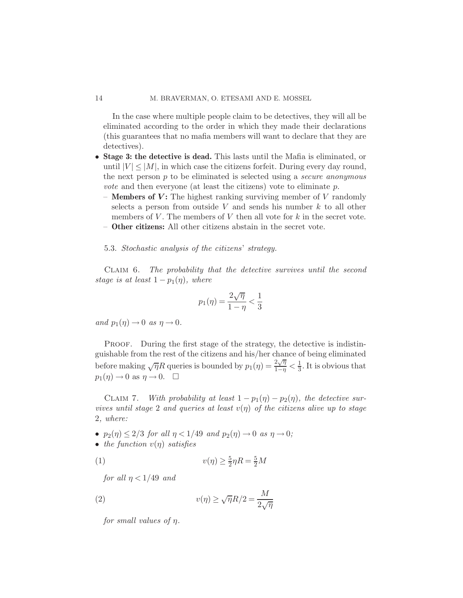In the case where multiple people claim to be detectives, they will all be eliminated according to the order in which they made their declarations (this guarantees that no mafia members will want to declare that they are detectives).

- Stage 3: the detective is dead. This lasts until the Mafia is eliminated, or until  $|V| \leq |M|$ , in which case the citizens forfeit. During every day round, the next person p to be eliminated is selected using a *secure anonymous vote* and then everyone (at least the citizens) vote to eliminate p.
	- **Members of V:** The highest ranking surviving member of V randomly selects a person from outside V and sends his number  $k$  to all other members of V. The members of V then all vote for  $k$  in the secret vote. – Other citizens: All other citizens abstain in the secret vote.
	- 5.3. *Stochastic analysis of the citizens*' *strategy.*

<span id="page-13-2"></span>Claim 6. *The probability that the detective survives until the second stage is at least*  $1 - p_1(\eta)$ *, where* 

$$
p_1(\eta) = \frac{2\sqrt{\eta}}{1-\eta} < \frac{1}{3}
$$

*and*  $p_1(\eta) \to 0$  *as*  $\eta \to 0$ *.* 

PROOF. During the first stage of the strategy, the detective is indistinguishable from the rest of the citizens and his/her chance of being eliminated before making  $\sqrt{\eta}R$  queries is bounded by  $p_1(\eta) = \frac{2\sqrt{\eta}}{1-\eta} < \frac{1}{3}$  $\frac{1}{3}$ . It is obvious that  $p_1(\eta) \to 0$  as  $\eta \to 0$ .  $\Box$ 

<span id="page-13-3"></span>CLAIM 7. *With probability at least*  $1 - p_1(\eta) - p_2(\eta)$ *, the detective survives until stage* 2 *and queries at least*  $v(\eta)$  *of the citizens alive up to stage* 2*, where:*

- $p_2(\eta) \leq 2/3$  *for all*  $\eta < 1/49$  *and*  $p_2(\eta) \to 0$  *as*  $\eta \to 0$ *;*
- *the function*  $v(\eta)$  *satisfies*

$$
(1) \t v(\eta) \ge \frac{5}{2}\eta R = \frac{5}{2}M
$$

<span id="page-13-0"></span>*for all*  $\eta$  < 1/49 *and* 

(2) 
$$
v(\eta) \ge \sqrt{\eta} R/2 = \frac{M}{2\sqrt{\eta}}
$$

<span id="page-13-1"></span>*for small values of* η*.*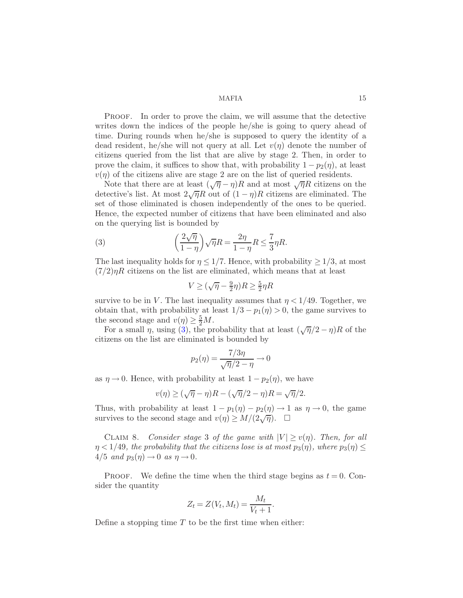Proof. In order to prove the claim, we will assume that the detective writes down the indices of the people he/she is going to query ahead of time. During rounds when he/she is supposed to query the identity of a dead resident, he/she will not query at all. Let  $v(\eta)$  denote the number of citizens queried from the list that are alive by stage 2. Then, in order to prove the claim, it suffices to show that, with probability  $1 - p_2(\eta)$ , at least  $v(\eta)$  of the citizens alive are stage 2 are on the list of queried residents.

Note that there are at least  $(\sqrt{\eta} - \eta)R$  and at most  $\sqrt{\eta}R$  citizens on the detective's list. At most  $2\sqrt{\eta}R$  out of  $(1-\eta)R$  citizens are eliminated. The set of those eliminated is chosen independently of the ones to be queried. Hence, the expected number of citizens that have been eliminated and also on the querying list is bounded by

(3) 
$$
\left(\frac{2\sqrt{\eta}}{1-\eta}\right)\sqrt{\eta}R = \frac{2\eta}{1-\eta}R \le \frac{7}{3}\eta R.
$$

The last inequality holds for  $\eta \leq 1/7$ . Hence, with probability  $\geq 1/3$ , at most  $(7/2)\eta R$  citizens on the list are eliminated, which means that at least

<span id="page-14-0"></span>
$$
V\geq (\sqrt{\eta}-\tfrac{9}{2}\eta)R\geq \tfrac{5}{2}\eta R
$$

survive to be in V. The last inequality assumes that  $\eta < 1/49$ . Together, we obtain that, with probability at least  $1/3 - p_1(\eta) > 0$ , the game survives to the second stage and  $v(\eta) \geq \frac{5}{2}M$ .

For a small  $\eta$ , using [\(3\)](#page-14-0), the probability that at least  $(\sqrt{\eta}/2 - \eta)R$  of the citizens on the list are eliminated is bounded by

$$
p_2(\eta) = \frac{7/3\eta}{\sqrt{\eta}/2 - \eta} \to 0
$$

as  $\eta \to 0$ . Hence, with probability at least  $1 - p_2(\eta)$ , we have

$$
v(\eta) \ge (\sqrt{\eta} - \eta)R - (\sqrt{\eta}/2 - \eta)R = \sqrt{\eta}/2.
$$

Thus, with probability at least  $1 - p_1(\eta) - p_2(\eta) \rightarrow 1$  as  $\eta \rightarrow 0$ , the game survives to the second stage and  $v(\eta) \ge M/(2\sqrt{\eta})$ .  $\Box$ 

<span id="page-14-1"></span>CLAIM 8. *Consider stage* 3 *of the game with*  $|V| \ge v(\eta)$ . Then, for all  $\eta < 1/49$ , the probability that the citizens lose is at most  $p_3(\eta)$ , where  $p_3(\eta) \leq$  $4/5$  *and*  $p_3(\eta) \rightarrow 0$  *as*  $\eta \rightarrow 0$ *.* 

PROOF. We define the time when the third stage begins as  $t = 0$ . Consider the quantity

$$
Z_t = Z(V_t, M_t) = \frac{M_t}{V_t + 1}.
$$

Define a stopping time  $T$  to be the first time when either: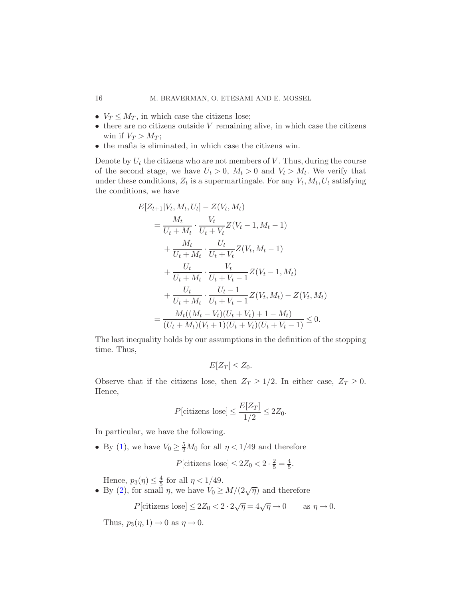- $V_T \leq M_T$ , in which case the citizens lose;
- $\bullet$  there are no citizens outside V remaining alive, in which case the citizens win if  $V_T > M_T$ ;
- the mafia is eliminated, in which case the citizens win.

Denote by  $U_t$  the citizens who are not members of  $V$ . Thus, during the course of the second stage, we have  $U_t > 0$ ,  $M_t > 0$  and  $V_t > M_t$ . We verify that under these conditions,  $Z_t$  is a supermartingale. For any  $V_t$ ,  $M_t$ ,  $U_t$  satisfying the conditions, we have

$$
E[Z_{t+1}|V_t, M_t, U_t] - Z(V_t, M_t)
$$
  
=  $\frac{M_t}{U_t + M_t} \cdot \frac{V_t}{U_t + V_t} Z(V_t - 1, M_t - 1)$   
+  $\frac{M_t}{U_t + M_t} \cdot \frac{U_t}{U_t + V_t} Z(V_t, M_t - 1)$   
+  $\frac{U_t}{U_t + M_t} \cdot \frac{V_t}{U_t + V_t - 1} Z(V_t - 1, M_t)$   
+  $\frac{U_t}{U_t + M_t} \cdot \frac{U_t - 1}{U_t + V_t - 1} Z(V_t, M_t) - Z(V_t, M_t)$   
=  $\frac{M_t((M_t - V_t)(U_t + V_t) + 1 - M_t)}{(U_t + M_t)(V_t + 1)(U_t + V_t)(U_t + V_t - 1)} \leq 0.$ 

The last inequality holds by our assumptions in the definition of the stopping time. Thus,

$$
E[Z_T] \le Z_0.
$$

Observe that if the citizens lose, then  $Z_T \geq 1/2$ . In either case,  $Z_T \geq 0$ . Hence,

$$
P[\text{citizens lose}] \le \frac{E[Z_T]}{1/2} \le 2Z_0.
$$

In particular, we have the following.

• By [\(1\)](#page-13-0), we have  $V_0 \geq \frac{5}{2}M_0$  for all  $\eta < 1/49$  and therefore

 $P[\text{citizens lose}] \leq 2Z_0 < 2 \cdot \frac{2}{5} = \frac{4}{5}$  $\frac{4}{5}$ .

Hence,  $p_3(\eta) \leq \frac{4}{5}$  for all  $\eta < 1/49$ .

• By [\(2\)](#page-13-1), for small  $\eta$ , we have  $V_0 \geq M/(2\sqrt{\eta})$  and therefore

 $P[\text{citizens lose}] \leq 2Z_0 < 2 \cdot 2\sqrt{\eta} = 4\sqrt{\eta} \to 0 \quad \text{as } \eta \to 0.$ 

Thus,  $p_3(\eta, 1) \rightarrow 0$  as  $\eta \rightarrow 0$ .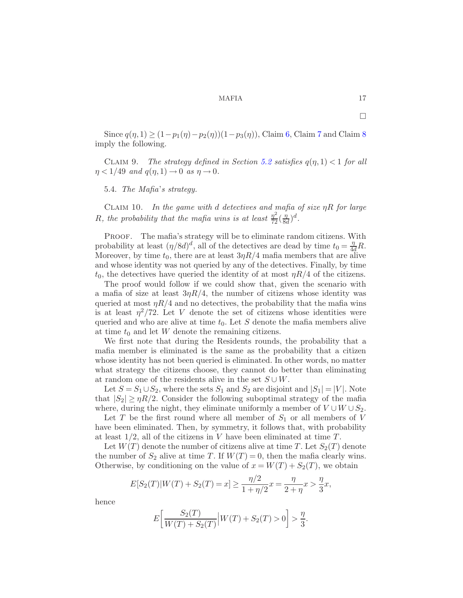<span id="page-16-0"></span>Since  $q(\eta, 1) \ge (1 - p_1(\eta) - p_2(\eta))(1 - p_3(\eta))$ , Claim [6,](#page-13-2) Claim [7](#page-13-3) and Claim [8](#page-14-1) imply the following.

CLAIM 9. *The strategy defined in Section* [5.2](#page-12-0) *satisfies*  $q(\eta, 1) < 1$  *for all*  $\eta < 1/49$  *and*  $q(\eta, 1) \rightarrow 0$  *as*  $\eta \rightarrow 0$ *.* 

<span id="page-16-1"></span>5.4. *The Mafia*'*s strategy.*

Claim 10. *In the game with* d *detectives and mafia of size* ηR *for large* R, the probability that the mafia wins is at least  $\frac{\eta^2}{72}(\frac{\eta}{8}$  $\frac{\eta}{8d}$ <sup>d</sup>.

PROOF. The mafia's strategy will be to eliminate random citizens. With probability at least  $(\eta/8d)^d$ , all of the detectives are dead by time  $t_0 = \frac{\eta}{4d}R$ . Moreover, by time  $t_0$ , there are at least  $3\eta R/4$  mafia members that are alive and whose identity was not queried by any of the detectives. Finally, by time  $t_0$ , the detectives have queried the identity of at most  $\eta R/4$  of the citizens.

The proof would follow if we could show that, given the scenario with a mafia of size at least  $3\eta R/4$ , the number of citizens whose identity was queried at most  $\eta R/4$  and no detectives, the probability that the mafia wins is at least  $\eta^2/72$ . Let V denote the set of citizens whose identities were queried and who are alive at time  $t_0$ . Let  $S$  denote the mafia members alive at time  $t_0$  and let W denote the remaining citizens.

We first note that during the Residents rounds, the probability that a mafia member is eliminated is the same as the probability that a citizen whose identity has not been queried is eliminated. In other words, no matter what strategy the citizens choose, they cannot do better than eliminating at random one of the residents alive in the set  $S \cup W$ .

Let  $S = S_1 \cup S_2$ , where the sets  $S_1$  and  $S_2$  are disjoint and  $|S_1| = |V|$ . Note that  $|S_2| \geq \eta R/2$ . Consider the following suboptimal strategy of the mafia where, during the night, they eliminate uniformly a member of  $V \cup W \cup S_2$ .

Let  $T$  be the first round where all member of  $S_1$  or all members of  $V$ have been eliminated. Then, by symmetry, it follows that, with probability at least  $1/2$ , all of the citizens in V have been eliminated at time T.

Let  $W(T)$  denote the number of citizens alive at time T. Let  $S_2(T)$  denote the number of  $S_2$  alive at time T. If  $W(T) = 0$ , then the mafia clearly wins. Otherwise, by conditioning on the value of  $x = W(T) + S_2(T)$ , we obtain

$$
E[S_2(T)|W(T) + S_2(T) = x] \ge \frac{\eta/2}{1 + \eta/2}x = \frac{\eta}{2 + \eta}x > \frac{\eta}{3}x,
$$

hence

$$
E\left[\frac{S_2(T)}{W(T) + S_2(T)}\Big| W(T) + S_2(T) > 0\right] > \frac{\eta}{3}.
$$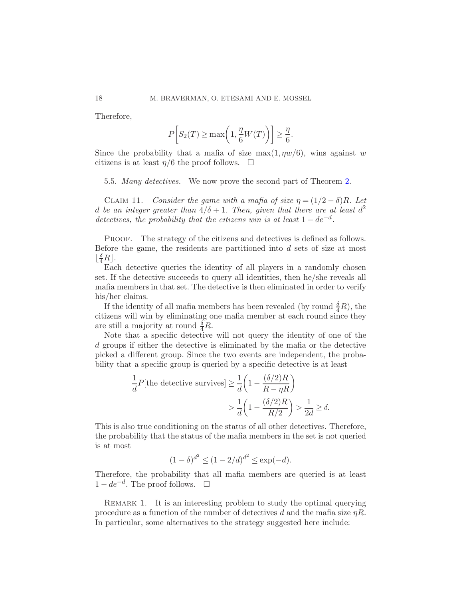Therefore,

<span id="page-17-1"></span>
$$
P\left[S_2(T) \ge \max\left(1, \frac{\eta}{6}W(T)\right)\right] \ge \frac{\eta}{6}.
$$

Since the probability that a mafia of size  $\max(1, \eta w/6)$ , wins against w citizens is at least  $\eta/6$  the proof follows.  $\Box$ 

<span id="page-17-0"></span>5.5. *Many detectives.* We now prove the second part of Theorem [2.](#page-11-1)

CLAIM 11. *Consider the game with a mafia of size*  $\eta = (1/2 - \delta)R$ . Let d be an integer greater than  $4/\delta + 1$ . Then, given that there are at least  $d^2$ *detectives, the probability that the citizens win is at least*  $1 - de^{-d}$ *.* 

PROOF. The strategy of the citizens and detectives is defined as follows. Before the game, the residents are partitioned into  $d$  sets of size at most  $\lfloor \frac{\delta}{4}R \rfloor$ .

Each detective queries the identity of all players in a randomly chosen set. If the detective succeeds to query all identities, then he/she reveals all mafia members in that set. The detective is then eliminated in order to verify his/her claims.

If the identity of all mafia members has been revealed (by round  $\frac{\delta}{4}R$ ), the citizens will win by eliminating one mafia member at each round since they are still a majority at round  $\frac{\delta}{4}R$ .

Note that a specific detective will not query the identity of one of the d groups if either the detective is eliminated by the mafia or the detective picked a different group. Since the two events are independent, the probability that a specific group is queried by a specific detective is at least

$$
\frac{1}{d}P[\text{the defective survives}] \ge \frac{1}{d} \left( 1 - \frac{(\delta/2)R}{R - \eta R} \right)
$$

$$
> \frac{1}{d} \left( 1 - \frac{(\delta/2)R}{R/2} \right) > \frac{1}{2d} \ge \delta.
$$

This is also true conditioning on the status of all other detectives. Therefore, the probability that the status of the mafia members in the set is not queried is at most

$$
(1 - \delta)^{d^2} \le (1 - 2/d)^{d^2} \le \exp(-d).
$$

Therefore, the probability that all mafia members are queried is at least  $1-de^{-d}$ . The proof follows.  $□$ 

REMARK 1. It is an interesting problem to study the optimal querying procedure as a function of the number of detectives d and the mafia size  $\eta R$ . In particular, some alternatives to the strategy suggested here include: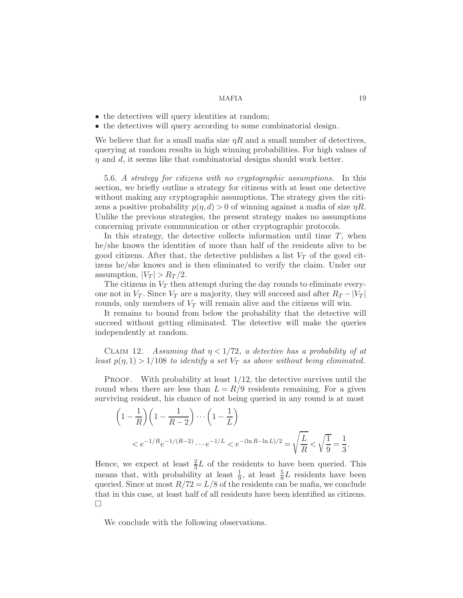- the detectives will query identities at random;
- the detectives will query according to some combinatorial design.

We believe that for a small mafia size  $\eta R$  and a small number of detectives, querying at random results in high winning probabilities. For high values of  $\eta$  and d, it seems like that combinatorial designs should work better.

<span id="page-18-0"></span>5.6. *A strategy for citizens with no cryptographic assumptions.* In this section, we briefly outline a strategy for citizens with at least one detective without making any cryptographic assumptions. The strategy gives the citizens a positive probability  $p(\eta, d) > 0$  of winning against a mafia of size  $\eta R$ . Unlike the previous strategies, the present strategy makes no assumptions concerning private communication or other cryptographic protocols.

In this strategy, the detective collects information until time  $T$ , when he/she knows the identities of more than half of the residents alive to be good citizens. After that, the detective publishes a list  $V_T$  of the good citizens he/she knows and is then eliminated to verify the claim. Under our assumption,  $|V_T| > R_T/2$ .

The citizens in  $V_T$  then attempt during the day rounds to eliminate everyone not in  $V_T$ . Since  $V_T$  are a majority, they will succeed and after  $R_T - |V_T|$ rounds, only members of  $V_T$  will remain alive and the citizens will win.

It remains to bound from below the probability that the detective will succeed without getting eliminated. The detective will make the queries independently at random.

CLAIM 12. *Assuming that*  $\eta$  < 1/72, *a detective has a probability of at least*  $p(\eta, 1) > 1/108$  *to identify a set*  $V_T$  *as above without being eliminated.* 

**PROOF.** With probability at least  $1/12$ , the detective survives until the round when there are less than  $L = R/9$  residents remaining. For a given surviving resident, his chance of not being queried in any round is at most

$$
\left(1 - \frac{1}{R}\right) \left(1 - \frac{1}{R - 2}\right) \cdots \left(1 - \frac{1}{L}\right)
$$
  

$$
< e^{-1/R} e^{-1/(R - 2)} \cdots e^{-1/L} < e^{-(\ln R - \ln L)/2} = \sqrt{\frac{L}{R}} < \sqrt{\frac{1}{9}} = \frac{1}{3}.
$$

Hence, we expect at least  $\frac{2}{3}L$  of the residents to have been queried. This means that, with probability at least  $\frac{1}{9}$ , at least  $\frac{5}{8}L$  residents have been queried. Since at most  $R/72 = L/8$  of the residents can be mafia, we conclude that in this case, at least half of all residents have been identified as citizens.  $\Box$ 

We conclude with the following observations.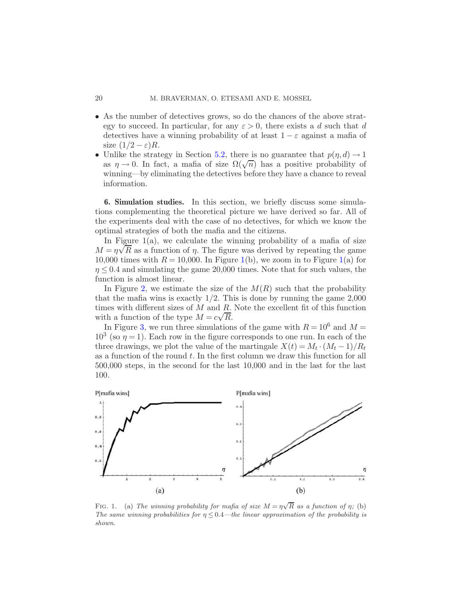- As the number of detectives grows, so do the chances of the above strategy to succeed. In particular, for any  $\varepsilon > 0$ , there exists a d such that d detectives have a winning probability of at least  $1 - \varepsilon$  against a mafia of size  $(1/2 - \varepsilon)R$ .
- Unlike the strategy in Section [5.2,](#page-12-0) there is no guarantee that  $p(\eta, d) \to 1$ as  $\eta \to 0$ . In fact, a mafia of size  $\Omega(\sqrt{n})$  has a positive probability of winning—by eliminating the detectives before they have a chance to reveal information.

<span id="page-19-0"></span>6. Simulation studies. In this section, we briefly discuss some simulations complementing the theoretical picture we have derived so far. All of the experiments deal with the case of no detectives, for which we know the optimal strategies of both the mafia and the citizens.

In Figure  $1(a)$ , we calculate the winning probability of a mafia of size  $M = \eta \sqrt{R}$  as a function of  $\eta$ . The figure was derived by repeating the game 10,000 times with  $R = 10,000$ . In Figure [1\(](#page-19-1)b), we zoom in to Figure 1(a) for  $\eta \leq 0.4$  and simulating the game 20,000 times. Note that for such values, the function is almost linear.

In Figure [2,](#page-20-0) we estimate the size of the  $M(R)$  such that the probability that the mafia wins is exactly  $1/2$ . This is done by running the game  $2,000$ times with different sizes of  $M$  and  $R$ . Note the excellent fit of this function with a function of the type  $M = c\sqrt{R}$ .

In Figure [3,](#page-20-1) we run three simulations of the game with  $R = 10^6$  and  $M =$  $10^3$  (so  $\eta = 1$ ). Each row in the figure corresponds to one run. In each of the three drawings, we plot the value of the martingale  $X(t) = M_t \cdot (M_t - 1)/R_t$ as a function of the round  $t$ . In the first column we draw this function for all 500,000 steps, in the second for the last 10,000 and in the last for the last 100.



<span id="page-19-1"></span>FIG. 1. (a) The winning probability for mafia of size  $M = \eta \sqrt{R}$  as a function of  $\eta$ ; (b) The same winning probabilities for  $\eta \leq 0.4$ —the linear approximation of the probability is shown.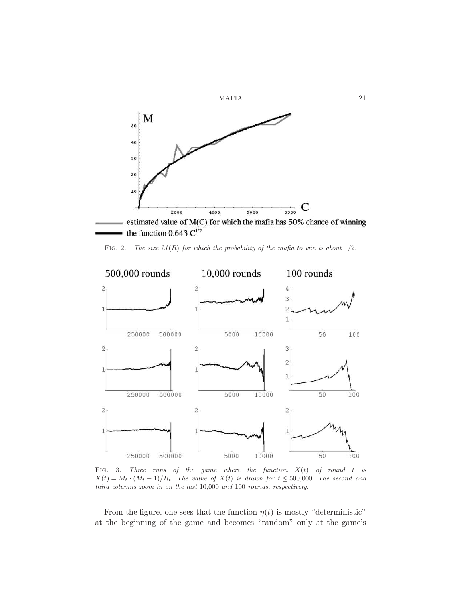

<span id="page-20-0"></span>FIG. 2. The size  $M(R)$  for which the probability of the mafia to win is about  $1/2$ .



<span id="page-20-1"></span>FIG. 3. Three runs of the game where the function  $X(t)$  of round t is  $X(t) = M_t \cdot (M_t - 1)/R_t$ . The value of  $X(t)$  is drawn for  $t \leq 500,000$ . The second and third columns zoom in on the last 10,000 and 100 rounds, respectively.

From the figure, one sees that the function  $\eta(t)$  is mostly "deterministic" at the beginning of the game and becomes "random" only at the game's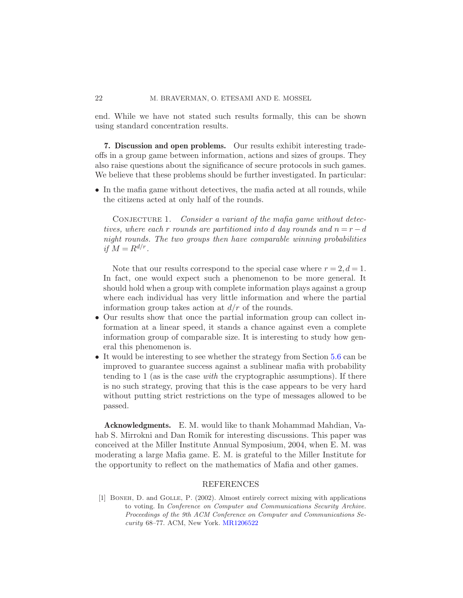end. While we have not stated such results formally, this can be shown using standard concentration results.

<span id="page-21-0"></span>7. Discussion and open problems. Our results exhibit interesting tradeoffs in a group game between information, actions and sizes of groups. They also raise questions about the significance of secure protocols in such games. We believe that these problems should be further investigated. In particular:

• In the mafia game without detectives, the mafia acted at all rounds, while the citizens acted at only half of the rounds.

CONJECTURE 1. Consider a variant of the mafia game without detec*tives, where each* r *rounds are partitioned into* d *day rounds and*  $n = r - d$ *night rounds. The two groups then have comparable winning probabilities if*  $M = R^{d/r}$ .

Note that our results correspond to the special case where  $r = 2, d = 1$ . In fact, one would expect such a phenomenon to be more general. It should hold when a group with complete information plays against a group where each individual has very little information and where the partial information group takes action at  $d/r$  of the rounds.

- Our results show that once the partial information group can collect information at a linear speed, it stands a chance against even a complete information group of comparable size. It is interesting to study how general this phenomenon is.
- It would be interesting to see whether the strategy from Section [5.6](#page-18-0) can be improved to guarantee success against a sublinear mafia with probability tending to 1 (as is the case *with* the cryptographic assumptions). If there is no such strategy, proving that this is the case appears to be very hard without putting strict restrictions on the type of messages allowed to be passed.

Acknowledgments. E. M. would like to thank Mohammad Mahdian, Vahab S. Mirrokni and Dan Romik for interesting discussions. This paper was conceived at the Miller Institute Annual Symposium, 2004, when E. M. was moderating a large Mafia game. E. M. is grateful to the Miller Institute for the opportunity to reflect on the mathematics of Mafia and other games.

#### REFERENCES

<span id="page-21-1"></span>[1] Boneh, D. and Golle, P. (2002). Almost entirely correct mixing with applications to voting. In Conference on Computer and Communications Security Archive. Proceedings of the 9th ACM Conference on Computer and Communications Security 68–77. ACM, New York. [MR1206522](http://www.ams.org/mathscinet-getitem?mr=1206522)